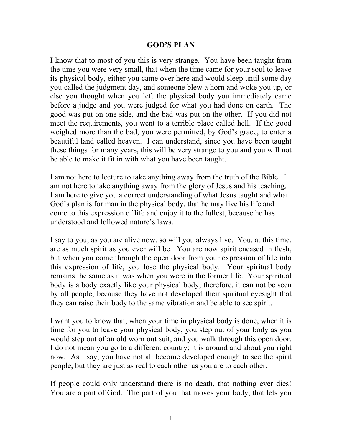## **GOD'S PLAN**

I know that to most of you this is very strange. You have been taught from the time you were very small, that when the time came for your soul to leave its physical body, either you came over here and would sleep until some day you called the judgment day, and someone blew a horn and woke you up, or else you thought when you left the physical body you immediately came before a judge and you were judged for what you had done on earth. The good was put on one side, and the bad was put on the other. If you did not meet the requirements, you went to a terrible place called hell. If the good weighed more than the bad, you were permitted, by God's grace, to enter a beautiful land called heaven. I can understand, since you have been taught these things for many years, this will be very strange to you and you will not be able to make it fit in with what you have been taught.

I am not here to lecture to take anything away from the truth of the Bible. I am not here to take anything away from the glory of Jesus and his teaching. I am here to give you a correct understanding of what Jesus taught and what God's plan is for man in the physical body, that he may live his life and come to this expression of life and enjoy it to the fullest, because he has understood and followed nature's laws.

I say to you, as you are alive now, so will you always live. You, at this time, are as much spirit as you ever will be. You are now spirit encased in flesh, but when you come through the open door from your expression of life into this expression of life, you lose the physical body. Your spiritual body remains the same as it was when you were in the former life. Your spiritual body is a body exactly like your physical body; therefore, it can not be seen by all people, because they have not developed their spiritual eyesight that they can raise their body to the same vibration and be able to see spirit.

I want you to know that, when your time in physical body is done, when it is time for you to leave your physical body, you step out of your body as you would step out of an old worn out suit, and you walk through this open door, I do not mean you go to a different country; it is around and about you right now. As I say, you have not all become developed enough to see the spirit people, but they are just as real to each other as you are to each other.

If people could only understand there is no death, that nothing ever dies! You are a part of God. The part of you that moves your body, that lets you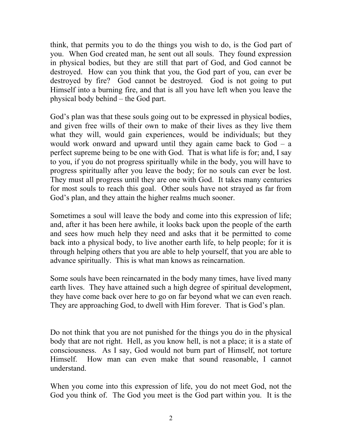think, that permits you to do the things you wish to do, is the God part of you. When God created man, he sent out all souls. They found expression in physical bodies, but they are still that part of God, and God cannot be destroyed. How can you think that you, the God part of you, can ever be destroyed by fire? God cannot be destroyed. God is not going to put Himself into a burning fire, and that is all you have left when you leave the physical body behind – the God part.

God's plan was that these souls going out to be expressed in physical bodies, and given free wills of their own to make of their lives as they live them what they will, would gain experiences, would be individuals; but they would work onward and upward until they again came back to God – a perfect supreme being to be one with God. That is what life is for; and, I say to you, if you do not progress spiritually while in the body, you will have to progress spiritually after you leave the body; for no souls can ever be lost. They must all progress until they are one with God. It takes many centuries for most souls to reach this goal. Other souls have not strayed as far from God's plan, and they attain the higher realms much sooner.

Sometimes a soul will leave the body and come into this expression of life; and, after it has been here awhile, it looks back upon the people of the earth and sees how much help they need and asks that it be permitted to come back into a physical body, to live another earth life, to help people; for it is through helping others that you are able to help yourself, that you are able to advance spiritually. This is what man knows as reincarnation.

Some souls have been reincarnated in the body many times, have lived many earth lives. They have attained such a high degree of spiritual development, they have come back over here to go on far beyond what we can even reach. They are approaching God, to dwell with Him forever. That is God's plan.

Do not think that you are not punished for the things you do in the physical body that are not right. Hell, as you know hell, is not a place; it is a state of consciousness. As I say, God would not burn part of Himself, not torture Himself. How man can even make that sound reasonable, I cannot understand.

When you come into this expression of life, you do not meet God, not the God you think of. The God you meet is the God part within you. It is the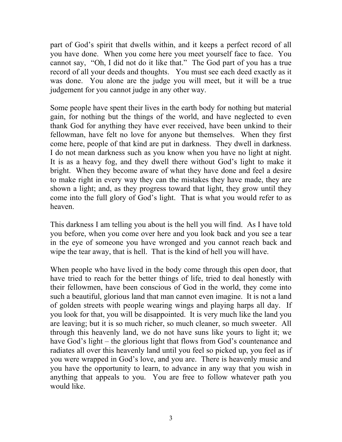part of God's spirit that dwells within, and it keeps a perfect record of all you have done. When you come here you meet yourself face to face. You cannot say, "Oh, I did not do it like that." The God part of you has a true record of all your deeds and thoughts. You must see each deed exactly as it was done. You alone are the judge you will meet, but it will be a true judgement for you cannot judge in any other way.

Some people have spent their lives in the earth body for nothing but material gain, for nothing but the things of the world, and have neglected to even thank God for anything they have ever received, have been unkind to their fellowman, have felt no love for anyone but themselves. When they first come here, people of that kind are put in darkness. They dwell in darkness. I do not mean darkness such as you know when you have no light at night. It is as a heavy fog, and they dwell there without God's light to make it bright. When they become aware of what they have done and feel a desire to make right in every way they can the mistakes they have made, they are shown a light; and, as they progress toward that light, they grow until they come into the full glory of God's light. That is what you would refer to as heaven.

This darkness I am telling you about is the hell you will find. As I have told you before, when you come over here and you look back and you see a tear in the eye of someone you have wronged and you cannot reach back and wipe the tear away, that is hell. That is the kind of hell you will have.

When people who have lived in the body come through this open door, that have tried to reach for the better things of life, tried to deal honestly with their fellowmen, have been conscious of God in the world, they come into such a beautiful, glorious land that man cannot even imagine. It is not a land of golden streets with people wearing wings and playing harps all day. If you look for that, you will be disappointed. It is very much like the land you are leaving; but it is so much richer, so much cleaner, so much sweeter. All through this heavenly land, we do not have suns like yours to light it; we have God's light – the glorious light that flows from God's countenance and radiates all over this heavenly land until you feel so picked up, you feel as if you were wrapped in God's love, and you are. There is heavenly music and you have the opportunity to learn, to advance in any way that you wish in anything that appeals to you. You are free to follow whatever path you would like.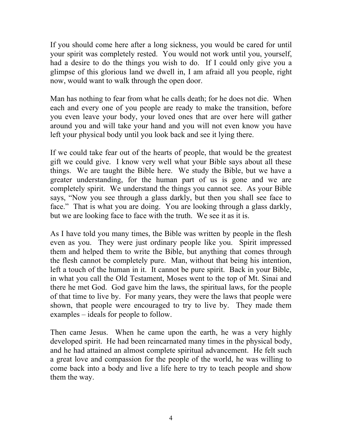If you should come here after a long sickness, you would be cared for until your spirit was completely rested. You would not work until you, yourself, had a desire to do the things you wish to do. If I could only give you a glimpse of this glorious land we dwell in, I am afraid all you people, right now, would want to walk through the open door.

Man has nothing to fear from what he calls death; for he does not die. When each and every one of you people are ready to make the transition, before you even leave your body, your loved ones that are over here will gather around you and will take your hand and you will not even know you have left your physical body until you look back and see it lying there.

If we could take fear out of the hearts of people, that would be the greatest gift we could give. I know very well what your Bible says about all these things. We are taught the Bible here. We study the Bible, but we have a greater understanding, for the human part of us is gone and we are completely spirit. We understand the things you cannot see. As your Bible says, "Now you see through a glass darkly, but then you shall see face to face." That is what you are doing. You are looking through a glass darkly, but we are looking face to face with the truth. We see it as it is.

As I have told you many times, the Bible was written by people in the flesh even as you. They were just ordinary people like you. Spirit impressed them and helped them to write the Bible, but anything that comes through the flesh cannot be completely pure. Man, without that being his intention, left a touch of the human in it. It cannot be pure spirit. Back in your Bible, in what you call the Old Testament, Moses went to the top of Mt. Sinai and there he met God. God gave him the laws, the spiritual laws, for the people of that time to live by. For many years, they were the laws that people were shown, that people were encouraged to try to live by. They made them examples – ideals for people to follow.

Then came Jesus. When he came upon the earth, he was a very highly developed spirit. He had been reincarnated many times in the physical body, and he had attained an almost complete spiritual advancement. He felt such a great love and compassion for the people of the world, he was willing to come back into a body and live a life here to try to teach people and show them the way.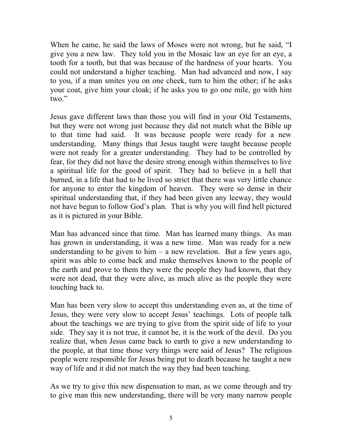When he came, he said the laws of Moses were not wrong, but he said, "I give you a new law. They told you in the Mosaic law an eye for an eye, a tooth for a tooth, but that was because of the hardness of your hearts. You could not understand a higher teaching. Man had advanced and now, I say to you, if a man smites you on one cheek, turn to him the other; if he asks your coat, give him your cloak; if he asks you to go one mile, go with him two."

Jesus gave different laws than those you will find in your Old Testaments, but they were not wrong just because they did not match what the Bible up to that time had said. It was because people were ready for a new understanding. Many things that Jesus taught were taught because people were not ready for a greater understanding. They had to be controlled by fear, for they did not have the desire strong enough within themselves to live a spiritual life for the good of spirit. They had to believe in a hell that burned, in a life that had to be lived so strict that there was very little chance for anyone to enter the kingdom of heaven. They were so dense in their spiritual understanding that, if they had been given any leeway, they would not have begun to follow God's plan. That is why you will find hell pictured as it is pictured in your Bible.

Man has advanced since that time. Man has learned many things. As man has grown in understanding, it was a new time. Man was ready for a new understanding to be given to him  $-$  a new revelation. But a few years ago, spirit was able to come back and make themselves known to the people of the earth and prove to them they were the people they had known, that they were not dead, that they were alive, as much alive as the people they were touching back to.

Man has been very slow to accept this understanding even as, at the time of Jesus, they were very slow to accept Jesus' teachings. Lots of people talk about the teachings we are trying to give from the spirit side of life to your side. They say it is not true, it cannot be, it is the work of the devil. Do you realize that, when Jesus came back to earth to give a new understanding to the people, at that time those very things were said of Jesus? The religious people were responsible for Jesus being put to death because he taught a new way of life and it did not match the way they had been teaching.

As we try to give this new dispensation to man, as we come through and try to give man this new understanding, there will be very many narrow people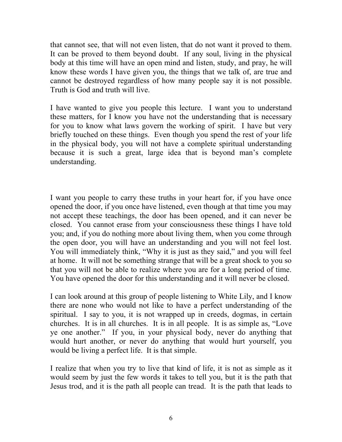that cannot see, that will not even listen, that do not want it proved to them. It can be proved to them beyond doubt. If any soul, living in the physical body at this time will have an open mind and listen, study, and pray, he will know these words I have given you, the things that we talk of, are true and cannot be destroyed regardless of how many people say it is not possible. Truth is God and truth will live.

I have wanted to give you people this lecture. I want you to understand these matters, for I know you have not the understanding that is necessary for you to know what laws govern the working of spirit. I have but very briefly touched on these things. Even though you spend the rest of your life in the physical body, you will not have a complete spiritual understanding because it is such a great, large idea that is beyond man's complete understanding.

I want you people to carry these truths in your heart for, if you have once opened the door, if you once have listened, even though at that time you may not accept these teachings, the door has been opened, and it can never be closed. You cannot erase from your consciousness these things I have told you; and, if you do nothing more about living them, when you come through the open door, you will have an understanding and you will not feel lost. You will immediately think, "Why it is just as they said," and you will feel at home. It will not be something strange that will be a great shock to you so that you will not be able to realize where you are for a long period of time. You have opened the door for this understanding and it will never be closed.

I can look around at this group of people listening to White Lily, and I know there are none who would not like to have a perfect understanding of the spiritual. I say to you, it is not wrapped up in creeds, dogmas, in certain churches. It is in all churches. It is in all people. It is as simple as, "Love ye one another." If you, in your physical body, never do anything that would hurt another, or never do anything that would hurt yourself, you would be living a perfect life. It is that simple.

I realize that when you try to live that kind of life, it is not as simple as it would seem by just the few words it takes to tell you, but it is the path that Jesus trod, and it is the path all people can tread. It is the path that leads to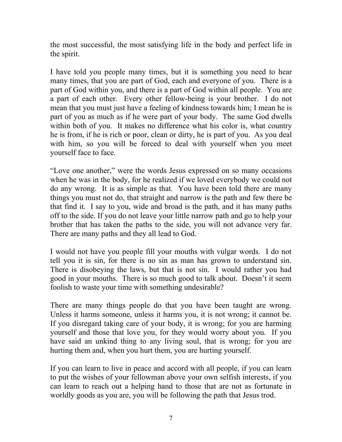the most successful, the most satisfying life in the body and perfect life in the spirit.

I have told you people many times, but it is something you need to hear many times, that you are part of God, each and everyone of you. There is a part of God within you, and there is a part of God within all people. You are a part of each other. Every other fellow-being is your brother. I do not mean that you must just have a feeling of kindness towards him; I mean he is part of you as much as if he were part of your body. The same God dwells within both of you. It makes no difference what his color is, what country he is from, if he is rich or poor, clean or dirty, he is part of you. As you deal with him, so you will be forced to deal with yourself when you meet yourself face to face.

"Love one another," were the words Jesus expressed on so many occasions when he was in the body, for he realized if we loved everybody we could not do any wrong. It is as simple as that. You have been told there are many things you must not do, that straight and narrow is the path and few there be that find it. I say to you, wide and broad is the path, and it has many paths off to the side. If you do not leave your little narrow path and go to help your brother that has taken the paths to the side, you will not advance very far. There are many paths and they all lead to God.

I would not have you people fill your mouths with vulgar words. I do not tell you it is sin, for there is no sin as man has grown to understand sin. There is disobeying the laws, but that is not sin. I would rather you had good in your mouths. There is so much good to talk about. Doesn't it seem foolish to waste your time with something undesirable?

There are many things people do that you have been taught are wrong. Unless it harms someone, unless it harms you, it is not wrong; it cannot be. If you disregard taking care of your body, it is wrong; for you are harming yourself and those that love you, for they would worry about you. If you have said an unkind thing to any living soul, that is wrong; for you are hurting them and, when you hurt them, you are hurting yourself.

If you can learn to live in peace and accord with all people, if you can learn to put the wishes of your fellowman above your own selfish interests, if you can learn to reach out a helping hand to those that are not as fortunate in worldly goods as you are, you will be following the path that Jesus trod.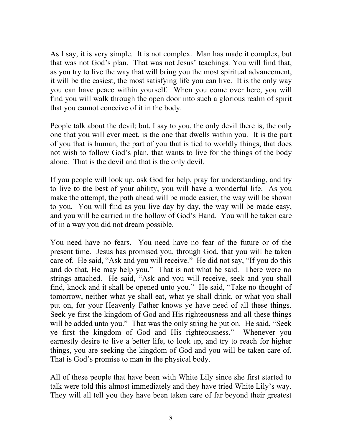As I say, it is very simple. It is not complex. Man has made it complex, but that was not God's plan. That was not Jesus' teachings. You will find that, as you try to live the way that will bring you the most spiritual advancement, it will be the easiest, the most satisfying life you can live. It is the only way you can have peace within yourself. When you come over here, you will find you will walk through the open door into such a glorious realm of spirit that you cannot conceive of it in the body.

People talk about the devil; but, I say to you, the only devil there is, the only one that you will ever meet, is the one that dwells within you. It is the part of you that is human, the part of you that is tied to worldly things, that does not wish to follow God's plan, that wants to live for the things of the body alone. That is the devil and that is the only devil.

If you people will look up, ask God for help, pray for understanding, and try to live to the best of your ability, you will have a wonderful life. As you make the attempt, the path ahead will be made easier, the way will be shown to you. You will find as you live day by day, the way will be made easy, and you will be carried in the hollow of God's Hand. You will be taken care of in a way you did not dream possible.

You need have no fears. You need have no fear of the future or of the present time. Jesus has promised you, through God, that you will be taken care of. He said, "Ask and you will receive." He did not say, "If you do this and do that, He may help you." That is not what he said. There were no strings attached. He said, "Ask and you will receive, seek and you shall find, knock and it shall be opened unto you." He said, "Take no thought of tomorrow, neither what ye shall eat, what ye shall drink, or what you shall put on, for your Heavenly Father knows ye have need of all these things. Seek ye first the kingdom of God and His righteousness and all these things will be added unto you." That was the only string he put on. He said, "Seek ye first the kingdom of God and His righteousness." Whenever you earnestly desire to live a better life, to look up, and try to reach for higher things, you are seeking the kingdom of God and you will be taken care of. That is God's promise to man in the physical body.

All of these people that have been with White Lily since she first started to talk were told this almost immediately and they have tried White Lily's way. They will all tell you they have been taken care of far beyond their greatest